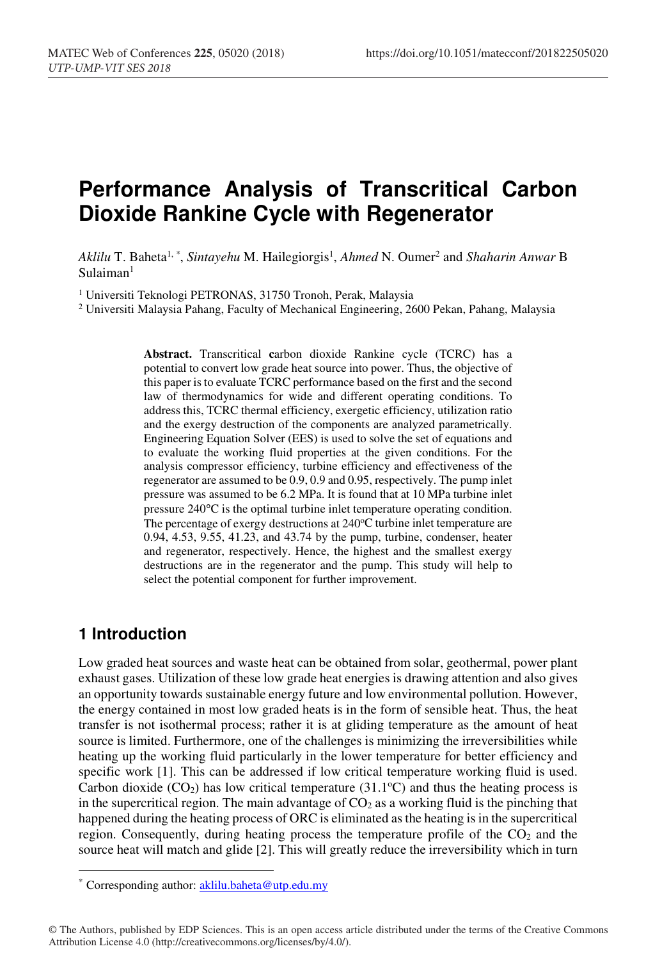# **Performance Analysis of Transcritical Carbon Dioxide Rankine Cycle with Regenerator**

*Aklilu* T. Baheta1, *\**, *Sintayehu* M. Hailegiorgis1 , *Ahmed* N. Oumer2 and *Shaharin Anwar* B  $S$ ulaiman<sup>1</sup>

<sup>1</sup> Universiti Teknologi PETRONAS, 31750 Tronoh, Perak, Malaysia<br><sup>2</sup> Universiti Malaysia Pahang, Faculty of Mechanical Engineering, 2600 Pekan, Pahang, Malaysia

**Abstract.** Transcritical **c**arbon dioxide Rankine cycle (TCRC) has a potential to convert low grade heat source into power. Thus, the objective of this paper is to evaluate TCRC performance based on the first and the second law of thermodynamics for wide and different operating conditions. To address this, TCRC thermal efficiency, exergetic efficiency, utilization ratio and the exergy destruction of the components are analyzed parametrically. Engineering Equation Solver (EES) is used to solve the set of equations and to evaluate the working fluid properties at the given conditions. For the analysis compressor efficiency, turbine efficiency and effectiveness of the regenerator are assumed to be 0.9, 0.9 and 0.95, respectively. The pump inlet pressure was assumed to be 6.2 MPa. It is found that at 10 MPa turbine inlet pressure 240°C is the optimal turbine inlet temperature operating condition. The percentage of exergy destructions at 240°C turbine inlet temperature are 0.94, 4.53, 9.55, 41.23, and 43.74 by the pump, turbine, condenser, heater and regenerator, respectively. Hence, the highest and the smallest exergy destructions are in the regenerator and the pump. This study will help to select the potential component for further improvement.

#### **1 Introduction**

Low graded heat sources and waste heat can be obtained from solar, geothermal, power plant exhaust gases. Utilization of these low grade heat energies is drawing attention and also gives an opportunity towards sustainable energy future and low environmental pollution. However, the energy contained in most low graded heats is in the form of sensible heat. Thus, the heat transfer is not isothermal process; rather it is at gliding temperature as the amount of heat source is limited. Furthermore, one of the challenges is minimizing the irreversibilities while heating up the working fluid particularly in the lower temperature for better efficiency and specific work [1]. This can be addressed if low critical temperature working fluid is used. Carbon dioxide  $(CO_2)$  has low critical temperature (31.1°C) and thus the heating process is in the supercritical region. The main advantage of  $CO<sub>2</sub>$  as a working fluid is the pinching that happened during the heating process of ORC is eliminated as the heating is in the supercritical region. Consequently, during heating process the temperature profile of the  $CO<sub>2</sub>$  and the source heat will match and glide [2]. This will greatly reduce the irreversibility which in turn

<sup>\*</sup> Corresponding author: aklilu.baheta@utp.edu.my

<sup>©</sup> The Authors, published by EDP Sciences. This is an open access article distributed under the terms of the Creative Commons Attribution License 4.0 (http://creativecommons.org/licenses/by/4.0/).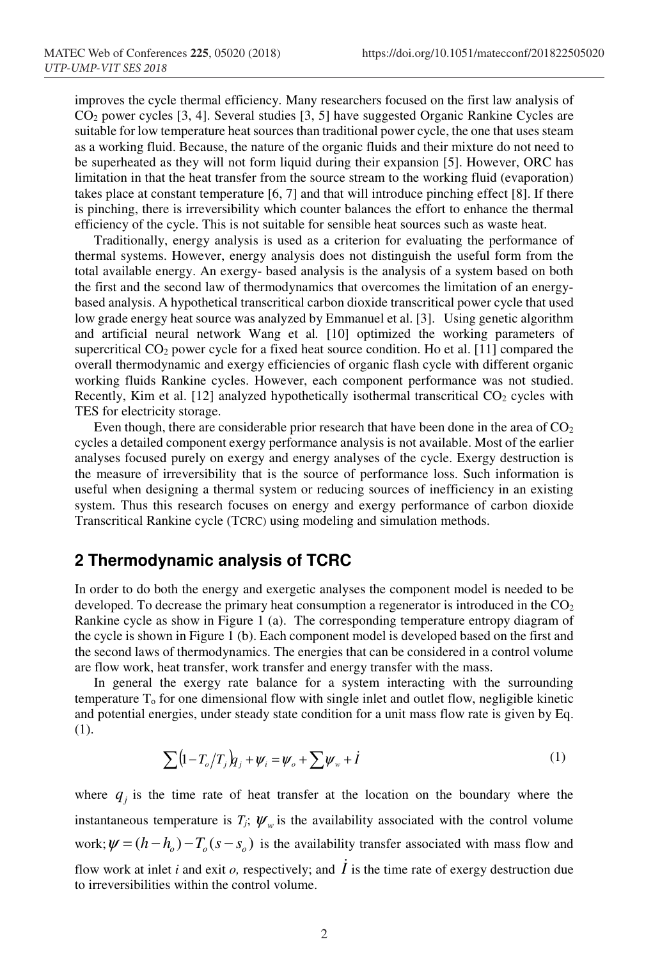improves the cycle thermal efficiency. Many researchers focused on the first law analysis of CO2 power cycles [3, 4]. Several studies [3, 5] have suggested Organic Rankine Cycles are suitable for low temperature heat sources than traditional power cycle, the one that uses steam as a working fluid. Because, the nature of the organic fluids and their mixture do not need to be superheated as they will not form liquid during their expansion [5]. However, ORC has limitation in that the heat transfer from the source stream to the working fluid (evaporation) takes place at constant temperature [6, 7] and that will introduce pinching effect [8]. If there is pinching, there is irreversibility which counter balances the effort to enhance the thermal efficiency of the cycle. This is not suitable for sensible heat sources such as waste heat.

Traditionally, energy analysis is used as a criterion for evaluating the performance of thermal systems. However, energy analysis does not distinguish the useful form from the total available energy. An exergy- based analysis is the analysis of a system based on both the first and the second law of thermodynamics that overcomes the limitation of an energybased analysis. A hypothetical transcritical carbon dioxide transcritical power cycle that used low grade energy heat source was analyzed by Emmanuel et al. [3]. Using genetic algorithm and artificial neural network Wang et al*.* [10] optimized the working parameters of supercritical  $CO_2$  power cycle for a fixed heat source condition. Ho et al. [11] compared the overall thermodynamic and exergy efficiencies of organic flash cycle with different organic working fluids Rankine cycles. However, each component performance was not studied. Recently, Kim et al. [12] analyzed hypothetically isothermal transcritical  $CO<sub>2</sub>$  cycles with TES for electricity storage.

Even though, there are considerable prior research that have been done in the area of  $CO<sub>2</sub>$ cycles a detailed component exergy performance analysis is not available. Most of the earlier analyses focused purely on exergy and energy analyses of the cycle. Exergy destruction is the measure of irreversibility that is the source of performance loss. Such information is useful when designing a thermal system or reducing sources of inefficiency in an existing system. Thus this research focuses on energy and exergy performance of carbon dioxide Transcritical Rankine cycle (TCRC) using modeling and simulation methods.

## **2 Thermodynamic analysis of TCRC**

In order to do both the energy and exergetic analyses the component model is needed to be developed. To decrease the primary heat consumption a regenerator is introduced in the  $CO<sub>2</sub>$ Rankine cycle as show in Figure 1 (a). The corresponding temperature entropy diagram of the cycle is shown in Figure 1 (b). Each component model is developed based on the first and the second laws of thermodynamics. The energies that can be considered in a control volume are flow work, heat transfer, work transfer and energy transfer with the mass.

In general the exergy rate balance for a system interacting with the surrounding temperature  $T<sub>o</sub>$  for one dimensional flow with single inlet and outlet flow, negligible kinetic and potential energies, under steady state condition for a unit mass flow rate is given by Eq. (1).

$$
\sum (1 - T_o/T_j) q_j + \psi_i = \psi_o + \sum \psi_w + i \tag{1}
$$

where  $q_i$  is the time rate of heat transfer at the location on the boundary where the instantaneous temperature is  $T_j$ ;  $\psi_w$  is the availability associated with the control volume work;  $\psi = (h - h_a) - T_a(s - s_a)$  is the availability transfer associated with mass flow and flow work at inlet *i* and exit *o*, respectively; and  $\dot{I}$  is the time rate of exergy destruction due to irreversibilities within the control volume.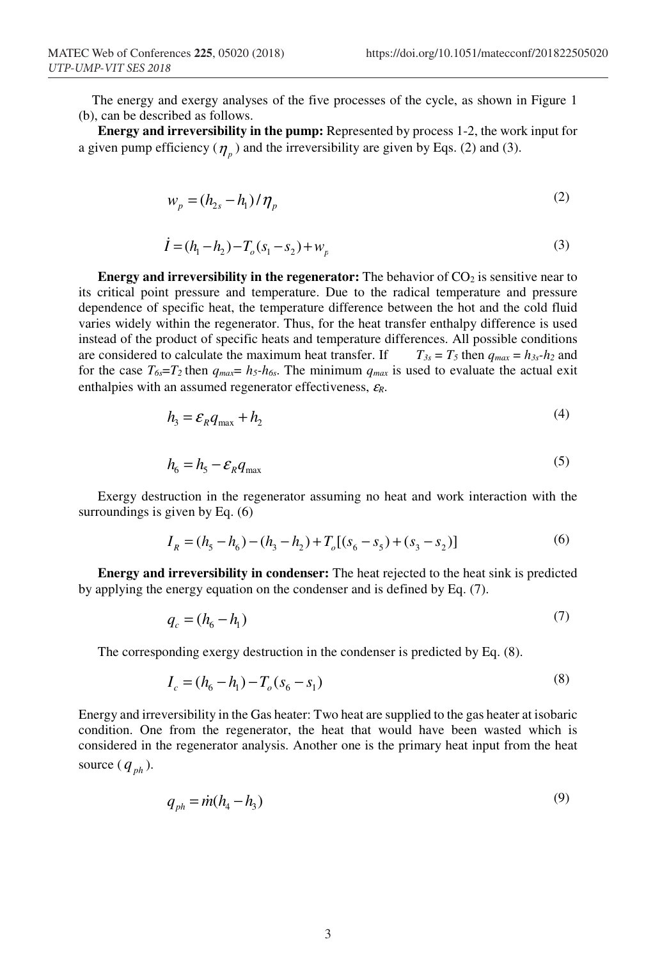The energy and exergy analyses of the five processes of the cycle, as shown in Figure 1 (b), can be described as follows.

**Energy and irreversibility in the pump:** Represented by process 1-2, the work input for a given pump efficiency  $(\eta_n)$  and the irreversibility are given by Eqs. (2) and (3).

$$
w_p = (h_{2s} - h_1) / \eta_p \tag{2}
$$

$$
\dot{I} = (h_1 - h_2) - T_o(s_1 - s_2) + w_p \tag{3}
$$

**Energy and irreversibility in the regenerator:** The behavior of CO<sub>2</sub> is sensitive near to its critical point pressure and temperature. Due to the radical temperature and pressure dependence of specific heat, the temperature difference between the hot and the cold fluid varies widely within the regenerator. Thus, for the heat transfer enthalpy difference is used instead of the product of specific heats and temperature differences. All possible conditions are considered to calculate the maximum heat transfer. If  $T_{3s} = T_5$  then  $q_{max} = h_{3s} - h_2$  and for the case  $T_{6s} = T_2$  then  $q_{max} = h_5-h_{6s}$ . The minimum  $q_{max}$  is used to evaluate the actual exit enthalpies with an assumed regenerator effectiveness, <sup>ε</sup>*R*.

$$
h_{3} = \mathcal{E}_{R} q_{\text{max}} + h_{2} \tag{4}
$$

$$
h_6 = h_5 - \mathcal{E}_R q_{\text{max}} \tag{5}
$$

Exergy destruction in the regenerator assuming no heat and work interaction with the surroundings is given by Eq. (6)

$$
I_R = (h_5 - h_6) - (h_3 - h_2) + T_o[(s_6 - s_5) + (s_3 - s_2)]
$$
\n(6)

**Energy and irreversibility in condenser:** The heat rejected to the heat sink is predicted by applying the energy equation on the condenser and is defined by Eq. (7).

$$
q_c = (h_6 - h_1) \tag{7}
$$

The corresponding exergy destruction in the condenser is predicted by Eq. (8).

$$
I_c = (h_6 - h_1) - T_o(s_6 - s_1)
$$
\n(8)

Energy and irreversibility in the Gas heater: Two heat are supplied to the gas heater at isobaric condition. One from the regenerator, the heat that would have been wasted which is considered in the regenerator analysis. Another one is the primary heat input from the heat source  $(q_{ph})$ .

$$
q_{ph} = \dot{m}(h_4 - h_3) \tag{9}
$$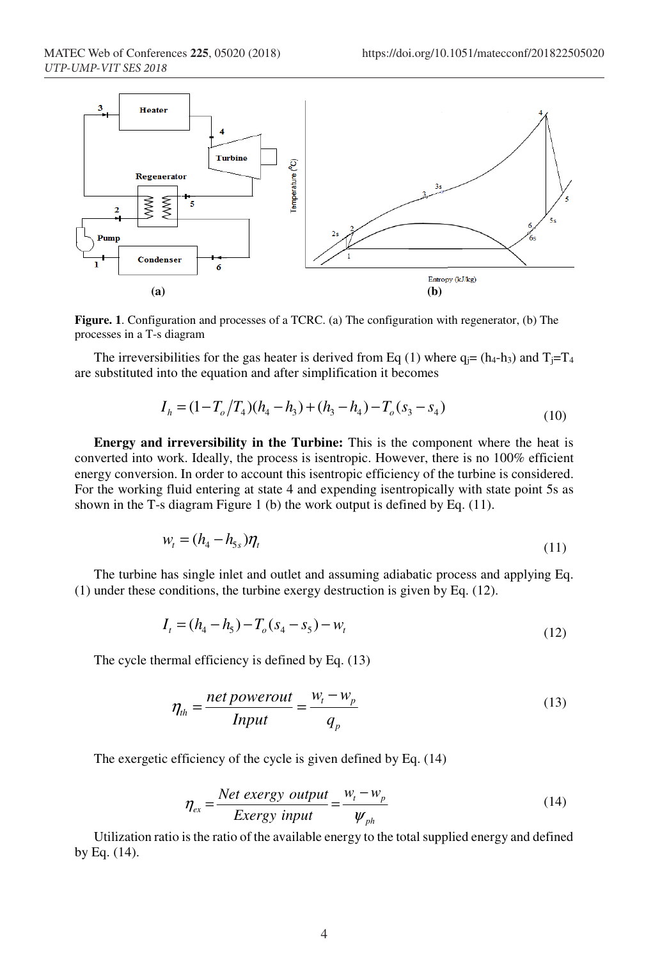

**Figure. 1**. Configuration and processes of a TCRC. (a) The configuration with regenerator, (b) The processes in a T-s diagram

The irreversibilities for the gas heater is derived from Eq (1) where  $q_i = (h_4-h_3)$  and  $T_i = T_4$ are substituted into the equation and after simplification it becomes

$$
I_h = (1 - T_o/T_4)(h_4 - h_3) + (h_3 - h_4) - T_o(s_3 - s_4)
$$
\n(10)

**Energy and irreversibility in the Turbine:** This is the component where the heat is converted into work. Ideally, the process is isentropic. However, there is no 100% efficient energy conversion. In order to account this isentropic efficiency of the turbine is considered. For the working fluid entering at state 4 and expending isentropically with state point 5s as shown in the T-s diagram Figure 1 (b) the work output is defined by Eq. (11).

$$
w_t = (h_4 - h_{5s})\eta_t
$$
\n<sup>(11)</sup>

The turbine has single inlet and outlet and assuming adiabatic process and applying Eq. (1) under these conditions, the turbine exergy destruction is given by Eq. (12).

$$
I_t = (h_4 - h_5) - T_o(s_4 - s_5) - w_t
$$
\n(12)

The cycle thermal efficiency is defined by Eq. (13)

$$
\eta_{th} = \frac{net\ powerout}{Input} = \frac{w_t - w_p}{q_p} \tag{13}
$$

The exergetic efficiency of the cycle is given defined by Eq. (14)

$$
\eta_{ex} = \frac{Net\;exergy\;output}{Exergy\;input} = \frac{w_t - w_p}{\psi_{ph}}
$$
\n(14)

Utilization ratio is the ratio of the available energy to the total supplied energy and defined by Eq. (14).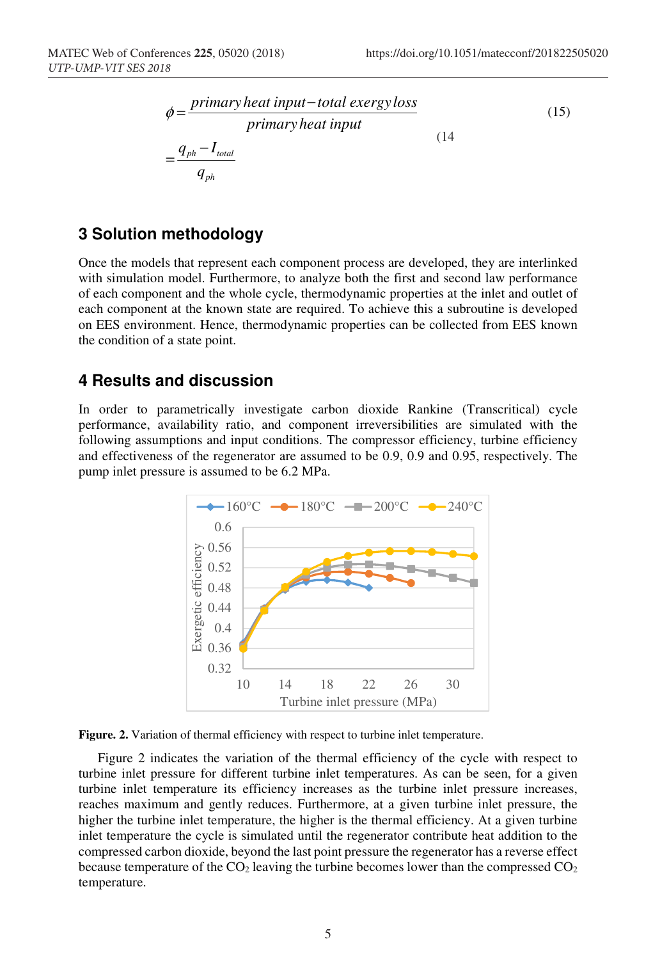$$
\phi = \frac{primary heat input - total~exergy loss}{primary heat input}
$$
\n
$$
= \frac{q_{ph} - I_{total}}{q_{ph}}
$$
\n(15)

### **3 Solution methodology**

Once the models that represent each component process are developed, they are interlinked with simulation model. Furthermore, to analyze both the first and second law performance of each component and the whole cycle, thermodynamic properties at the inlet and outlet of each component at the known state are required. To achieve this a subroutine is developed on EES environment. Hence, thermodynamic properties can be collected from EES known the condition of a state point.

#### **4 Results and discussion**

In order to parametrically investigate carbon dioxide Rankine (Transcritical) cycle performance, availability ratio, and component irreversibilities are simulated with the following assumptions and input conditions. The compressor efficiency, turbine efficiency and effectiveness of the regenerator are assumed to be 0.9, 0.9 and 0.95, respectively. The pump inlet pressure is assumed to be 6.2 MPa.





Figure 2 indicates the variation of the thermal efficiency of the cycle with respect to turbine inlet pressure for different turbine inlet temperatures. As can be seen, for a given turbine inlet temperature its efficiency increases as the turbine inlet pressure increases, reaches maximum and gently reduces. Furthermore, at a given turbine inlet pressure, the higher the turbine inlet temperature, the higher is the thermal efficiency. At a given turbine inlet temperature the cycle is simulated until the regenerator contribute heat addition to the compressed carbon dioxide, beyond the last point pressure the regenerator has a reverse effect because temperature of the  $CO<sub>2</sub>$  leaving the turbine becomes lower than the compressed  $CO<sub>2</sub>$ temperature.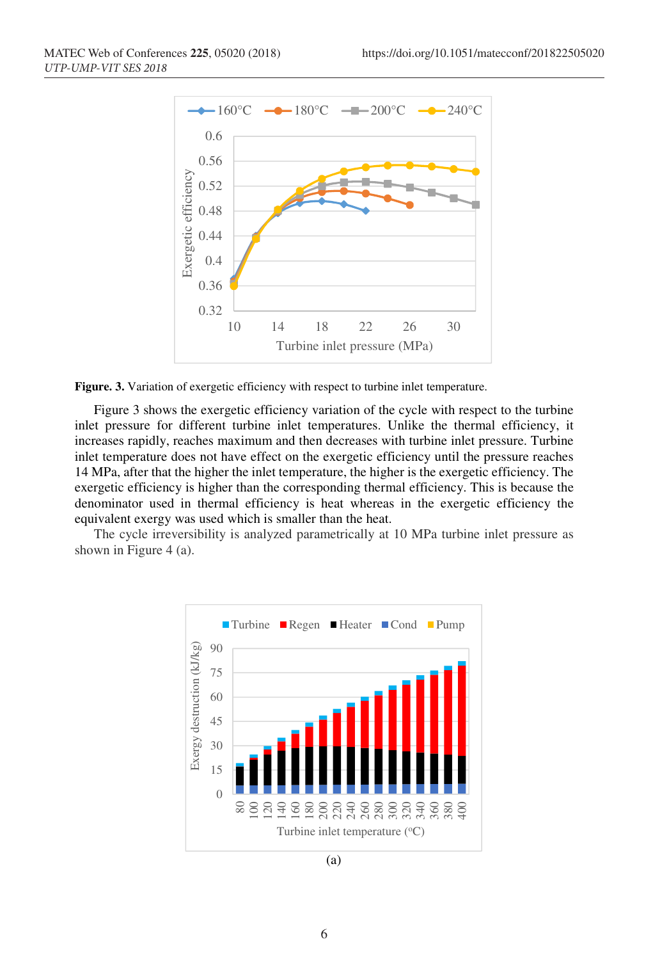

Figure. 3. Variation of exergetic efficiency with respect to turbine inlet temperature.

Figure 3 shows the exergetic efficiency variation of the cycle with respect to the turbine inlet pressure for different turbine inlet temperatures. Unlike the thermal efficiency, it increases rapidly, reaches maximum and then decreases with turbine inlet pressure. Turbine inlet temperature does not have effect on the exergetic efficiency until the pressure reaches 14 MPa, after that the higher the inlet temperature, the higher is the exergetic efficiency. The exergetic efficiency is higher than the corresponding thermal efficiency. This is because the denominator used in thermal efficiency is heat whereas in the exergetic efficiency the equivalent exergy was used which is smaller than the heat.

The cycle irreversibility is analyzed parametrically at 10 MPa turbine inlet pressure as shown in Figure 4 (a).



(a)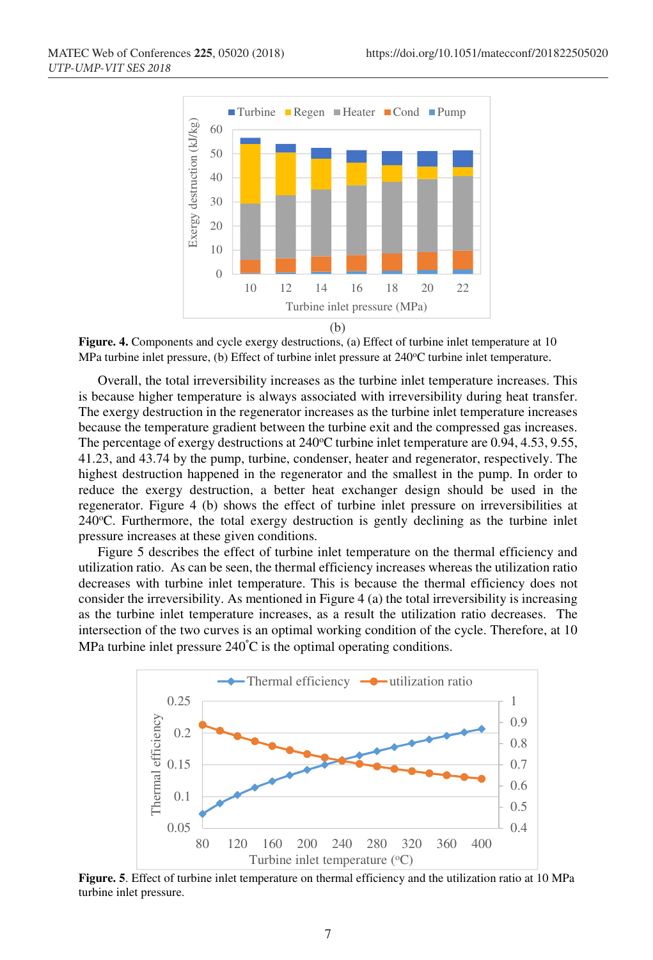

**Figure. 4.** Components and cycle exergy destructions, (a) Effect of turbine inlet temperature at 10 MPa turbine inlet pressure, (b) Effect of turbine inlet pressure at 240°C turbine inlet temperature.

Overall, the total irreversibility increases as the turbine inlet temperature increases. This is because higher temperature is always associated with irreversibility during heat transfer. The exergy destruction in the regenerator increases as the turbine inlet temperature increases because the temperature gradient between the turbine exit and the compressed gas increases. The percentage of exergy destructions at 240°C turbine inlet temperature are 0.94, 4.53, 9.55, 41.23, and 43.74 by the pump, turbine, condenser, heater and regenerator, respectively. The highest destruction happened in the regenerator and the smallest in the pump. In order to reduce the exergy destruction, a better heat exchanger design should be used in the regenerator. Figure 4 (b) shows the effect of turbine inlet pressure on irreversibilities at 240°C. Furthermore, the total exergy destruction is gently declining as the turbine inlet pressure increases at these given conditions.

Figure 5 describes the effect of turbine inlet temperature on the thermal efficiency and utilization ratio. As can be seen, the thermal efficiency increases whereas the utilization ratio decreases with turbine inlet temperature. This is because the thermal efficiency does not consider the irreversibility. As mentioned in Figure 4 (a) the total irreversibility is increasing as the turbine inlet temperature increases, as a result the utilization ratio decreases. The intersection of the two curves is an optimal working condition of the cycle. Therefore, at 10 MPa turbine inlet pressure 240° C is the optimal operating conditions.



**Figure. 5**. Effect of turbine inlet temperature on thermal efficiency and the utilization ratio at 10 MPa turbine inlet pressure.